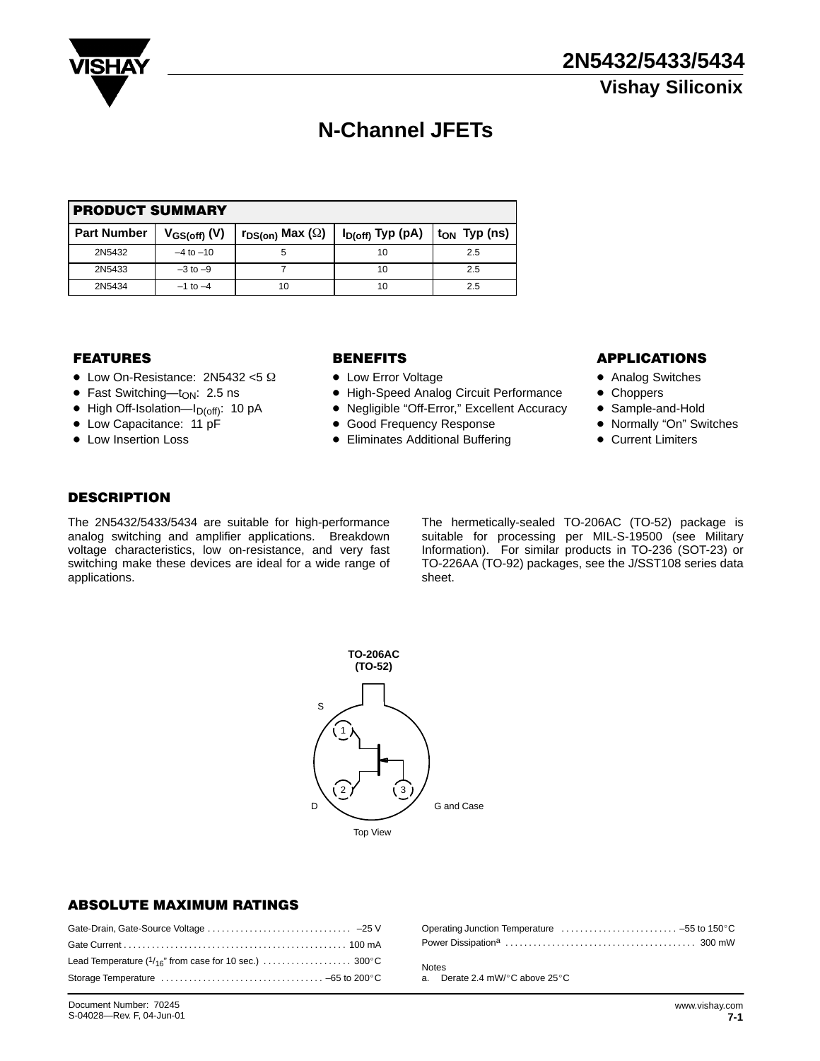

# **N-Channel JFETs**

| <b>PRODUCT SUMMARY</b> |                   |                               |                                          |     |  |  |  |
|------------------------|-------------------|-------------------------------|------------------------------------------|-----|--|--|--|
| l Part Number          | $V_{GS(off)}$ (V) | $r_{DS(on)}$ Max ( $\Omega$ ) | $I_{D(off)}$ Typ (pA) $ t_{ON}$ Typ (ns) |     |  |  |  |
| 2N5432                 | $-4$ to $-10$     | 5                             | 10                                       | 2.5 |  |  |  |
| 2N5433                 | $-3$ to $-9$      |                               | 10                                       | 2.5 |  |  |  |
| 2N5434                 | $-1$ to $-4$      | 10                            | 10                                       | 2.5 |  |  |  |

### **FEATURES**

- $\bullet$  Low On-Resistance: 2N5432 <5  $\Omega$
- Fast Switching—t<sub>ON</sub>: 2.5 ns
- $\bullet$  High Off-Isolation—I<sub>D(off)</sub>: 10 pA
- Low Capacitance: 11 pF
- Low Insertion Loss

- Low Error Voltage
- High-Speed Analog Circuit Performance
- Negligible "Off-Error," Excellent Accuracy
- **Good Frequency Response**
- **Eliminates Additional Buffering**

#### **BENEFITS APPLICATIONS**

- Analog Switches
- Choppers
- Sample-and-Hold
- Normally "On" Switches
- **Current Limiters**

### **DESCRIPTION**

The 2N5432/5433/5434 are suitable for high-performance analog switching and amplifier applications. Breakdown voltage characteristics, low on-resistance, and very fast switching make these devices are ideal for a wide range of applications.

The hermetically-sealed TO-206AC (TO-52) package is suitable for processing per MIL-S-19500 (see Military Information). For similar products in TO-236 (SOT-23) or TO-226AA (TO-92) packages, see the J/SST108 series data sheet.



#### ABSOLUTE MAXIMUM RATINGS

Notes a. Derate 2.4 mW/°C above 25°C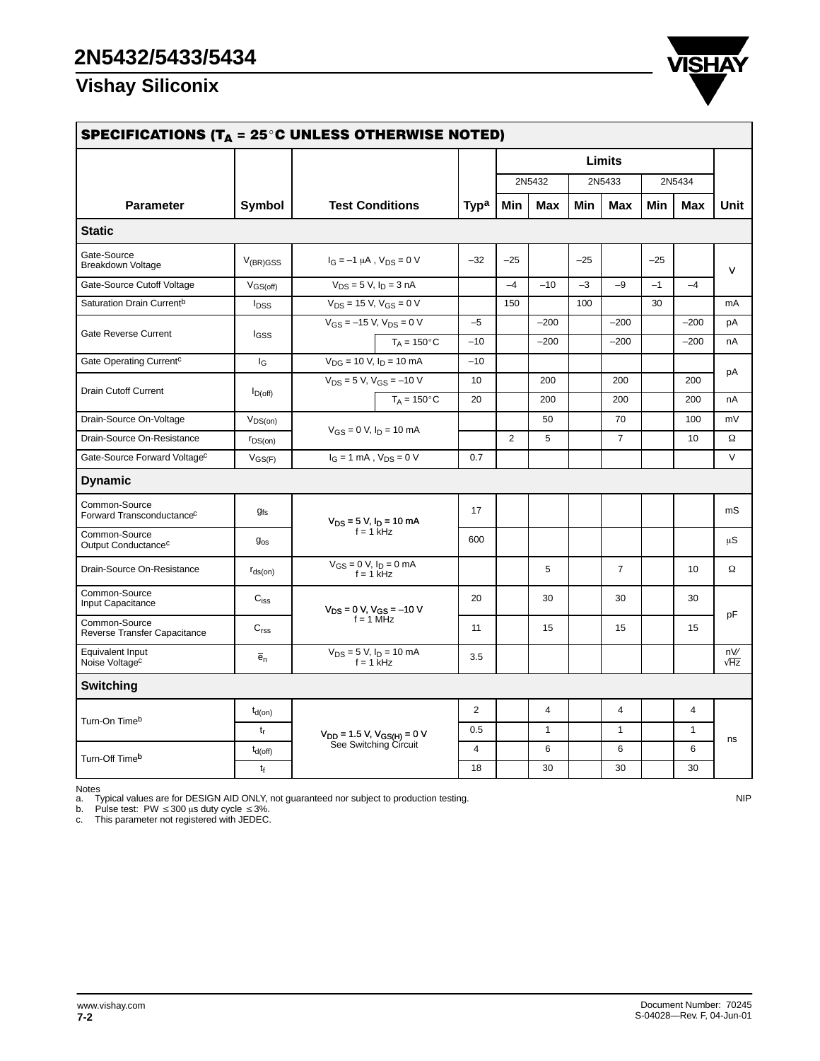# **Vishay Siliconix**



| SPECIFICATIONS (T <sub>A</sub> = 25 <sup>°</sup> C UNLESS OTHERWISE NOTED) |                  |                                                               |                       |                |               |              |        |                |        |              |            |
|----------------------------------------------------------------------------|------------------|---------------------------------------------------------------|-----------------------|----------------|---------------|--------------|--------|----------------|--------|--------------|------------|
|                                                                            |                  |                                                               |                       |                | <b>Limits</b> |              |        |                |        |              |            |
|                                                                            |                  | <b>Test Conditions</b>                                        |                       |                | 2N5432        |              | 2N5433 |                | 2N5434 |              |            |
| <b>Parameter</b>                                                           | Symbol           |                                                               |                       | <b>Typa</b>    | Min           | Max          | Min    | Max            | Min    | Max          | Unit       |
| <b>Static</b>                                                              |                  |                                                               |                       |                |               |              |        |                |        |              |            |
| Gate-Source<br><b>Breakdown Voltage</b>                                    | $V_{(BR)GSS}$    | $I_G = -1 \mu A$ , $V_{DS} = 0 V$                             |                       | $-32$          | $-25$         |              | $-25$  |                | $-25$  |              | v          |
| Gate-Source Cutoff Voltage                                                 | $V_{GS(off)}$    | $V_{DS} = 5 V$ , $I_D = 3 nA$                                 |                       |                | $-4$          | $-10$        | $-3$   | $-9$           | $-1$   | $-4$         |            |
| Saturation Drain Current <sup>b</sup>                                      | $I_{DSS}$        | $V_{DS}$ = 15 V, $V_{GS}$ = 0 V                               |                       |                | 150           |              | 100    |                | 30     |              | mA         |
| <b>Gate Reverse Current</b>                                                |                  | $V_{GS} = -15 \text{ V}, V_{DS} = 0 \text{ V}$                |                       | $-5$           |               | $-200$       |        | $-200$         |        | $-200$       | pA         |
|                                                                            | <b>I</b> GSS     |                                                               | $T_A = 150^{\circ}$ C | $-10$          |               | $-200$       |        | $-200$         |        | $-200$       | nA         |
| Gate Operating Current <sup>c</sup>                                        | $I_{G}$          | $V_{DG}$ = 10 V, $I_D$ = 10 mA                                |                       | $-10$          |               |              |        |                |        |              |            |
| <b>Drain Cutoff Current</b>                                                |                  | $V_{DS} = 5 V, V_{GS} = -10 V$                                |                       | 10             |               | 200          |        | 200            |        | 200          | рA         |
|                                                                            | $I_{D(off)}$     |                                                               | $T_A = 150^{\circ}$ C | 20             |               | 200          |        | 200            |        | 200          | nA         |
| Drain-Source On-Voltage                                                    | $V_{DS(on)}$     | $V_{GS} = 0$ V, $I_D = 10$ mA<br>$I_G = 1$ mA, $V_{DS} = 0$ V |                       |                |               | 50           |        | 70             |        | 100          | mV         |
| Drain-Source On-Resistance                                                 | $r_{DS(on)}$     |                                                               |                       |                | 2             | 5            |        | $\overline{7}$ |        | 10           | $\Omega$   |
| Gate-Source Forward Voltage <sup>c</sup>                                   | $V_{GS(F)}$      |                                                               |                       | 0.7            |               |              |        |                |        |              | $\vee$     |
| <b>Dynamic</b>                                                             |                  |                                                               |                       |                |               |              |        |                |        |              |            |
| Common-Source<br>Forward Transconductance <sup>c</sup>                     | $g_{fs}$         | $V_{DS}$ = 5 V, $I_D$ = 10 mA<br>$f = 1$ $\overline{k}$ Hz    |                       | 17             |               |              |        |                |        |              | mS         |
| Common-Source<br>Output Conductance <sup>c</sup>                           | $g_{os}$         |                                                               |                       | 600            |               |              |        |                |        |              | μS         |
| Drain-Source On-Resistance                                                 | $r_{ds(on)}$     | $V_{GS} = 0$ V, $I_D = 0$ mA<br>$f = 1$ kHz                   |                       |                |               | 5            |        | $\overline{7}$ |        | 10           | Ω          |
| Common-Source<br>Input Capacitance                                         | $C_{iss}$        | $V_{DS} = 0 V, V_{GS} = -10 V$<br>$f = 1 MHz$                 |                       | 20             |               | 30           |        | 30             |        | 30           | рF         |
| Common-Source<br>Reverse Transfer Capacitance                              | C <sub>rss</sub> |                                                               |                       | 11             |               | 15           |        | 15             |        | 15           |            |
| Equivalent Input<br>Noise Voltage <sup>c</sup>                             | $\overline{e}_n$ | $V_{DS} = 5 V$ , $I_D = 10$ mA<br>$f = 1$ kHz                 |                       | 3.5            |               |              |        |                |        |              | nV/<br>√Hz |
| <b>Switching</b>                                                           |                  |                                                               |                       |                |               |              |        |                |        |              |            |
|                                                                            | $t_{d(on)}$      | $V_{DD} = 1.5 V, V_{GS(H)} = 0 V$<br>See Switching Circuit    |                       | $\overline{2}$ |               | 4            |        | 4              |        | 4            |            |
| Turn-On Timeb                                                              | $t_r$            |                                                               |                       | 0.5            |               | $\mathbf{1}$ |        | $\mathbf{1}$   |        | $\mathbf{1}$ | ns         |
|                                                                            | $t_{d(off)}$     |                                                               |                       | $\overline{4}$ |               | 6            |        | 6              |        | 6            |            |
| Turn-Off Timeb                                                             | $t_f$            |                                                               |                       | 18             |               | 30           |        | 30             |        | 30           |            |

Notes<br>a. Typical values are for DESIGN AID ONLY, not guaranteed nor subject to production testing.<br>b. Pulse test: PW ≤300 μs duty cycle ≤3%.<br>c. This parameter not registered with JEDEC.

www.vishay.com **7-2**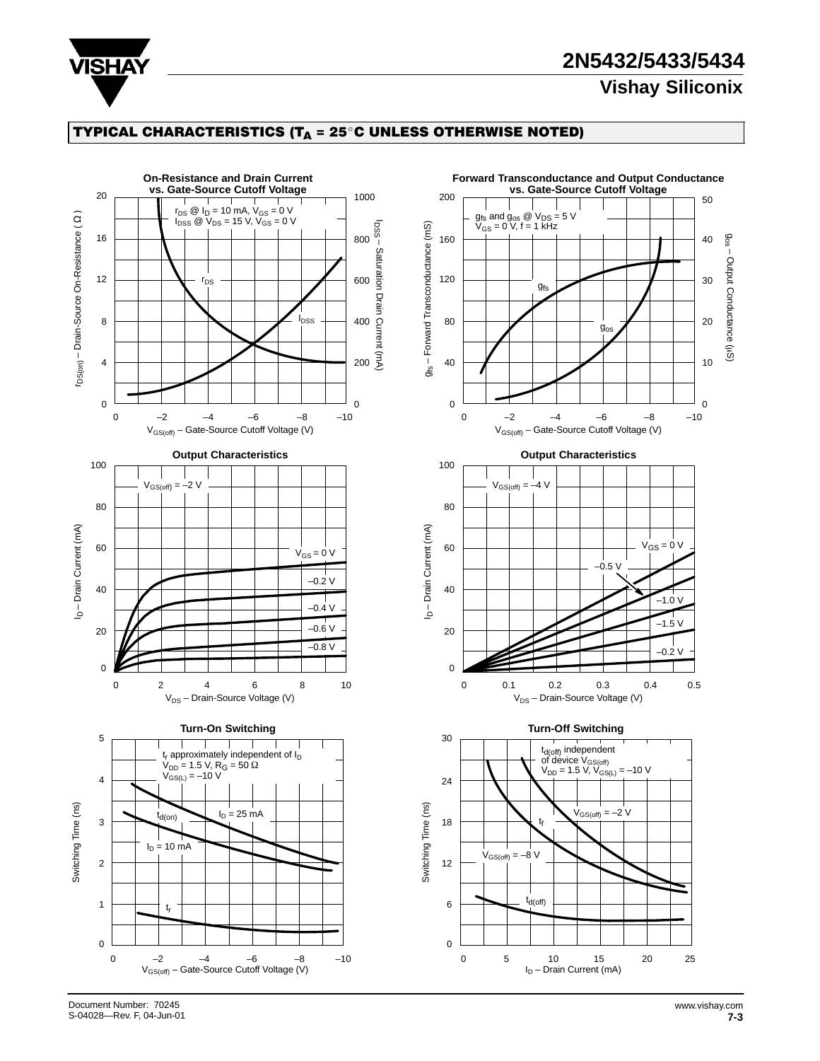

## **2N5432/5433/5434 Vishay Siliconix**

## TYPICAL CHARACTERISTICS (T $_{\mathsf{A}}$  = 25°C UNLESS OTHERWISE NOTED)



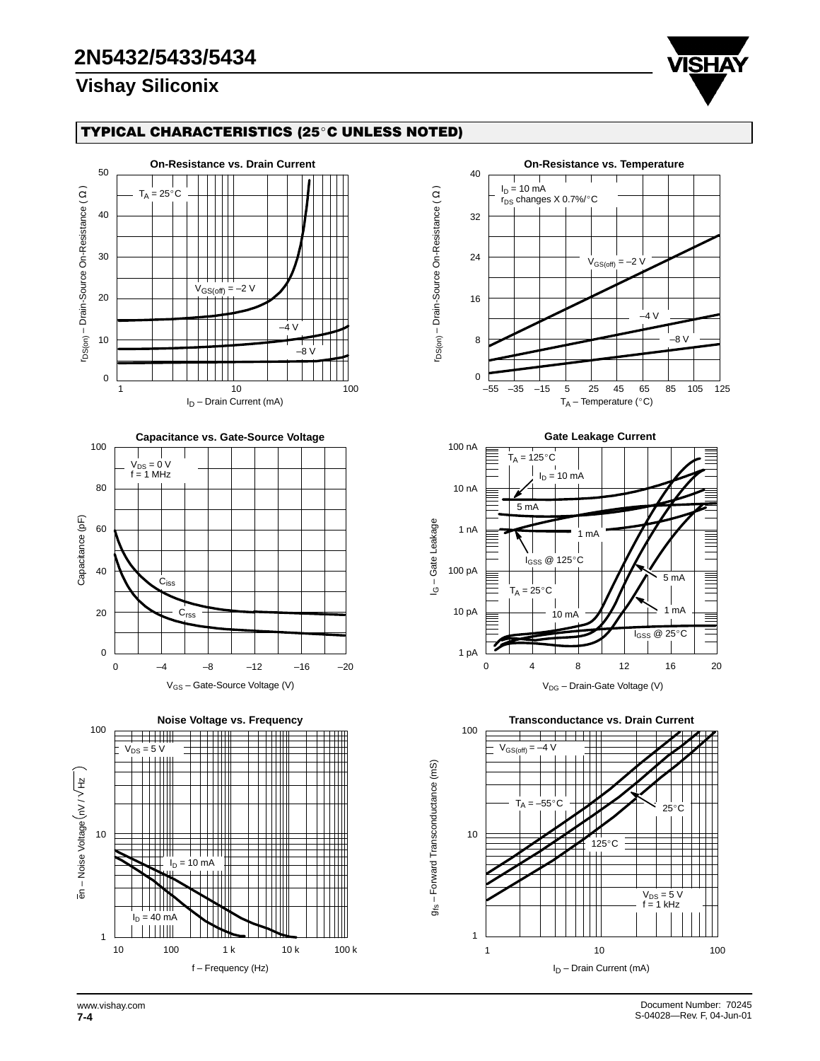# **2N5432/5433/5434**

## **Vishay Siliconix**



### TYPICAL CHARACTERISTICS (25°C UNLESS NOTED)





g<sub>fs</sub> - Forward Transconductance (mS)



**Gate Leakage Current** 100 nA  $T_A = 125$ °C  $I_D = 10$  mA 10 nA 5 mA I<sub>G</sub> - Gate Leakage 1 nA 1 mA Ē .<br>I<sub>GSS</sub> @ 125°C 100 pA <u>E</u> 5 mA  $T_A = 25^\circ C$ 10 pA 1 mA 10 mA  $I_{GSS} \ @ 25^{\circ}$ C 1 pA 16 20 0 4 8 12 V<sub>DG</sub> – Drain-Gate Voltage (V)

100 10 1 1 10 100 **Transconductance vs. Drain Current** I<sub>D</sub> – Drain Current (mA)  $V_{DS} = 5 V$  $f = 1$  kHz  $T_A = -55$  $\overline{c}$  $125^{\circ}$ C  $V_{GS(off)} = -4 V$  $25^{\circ}$ C